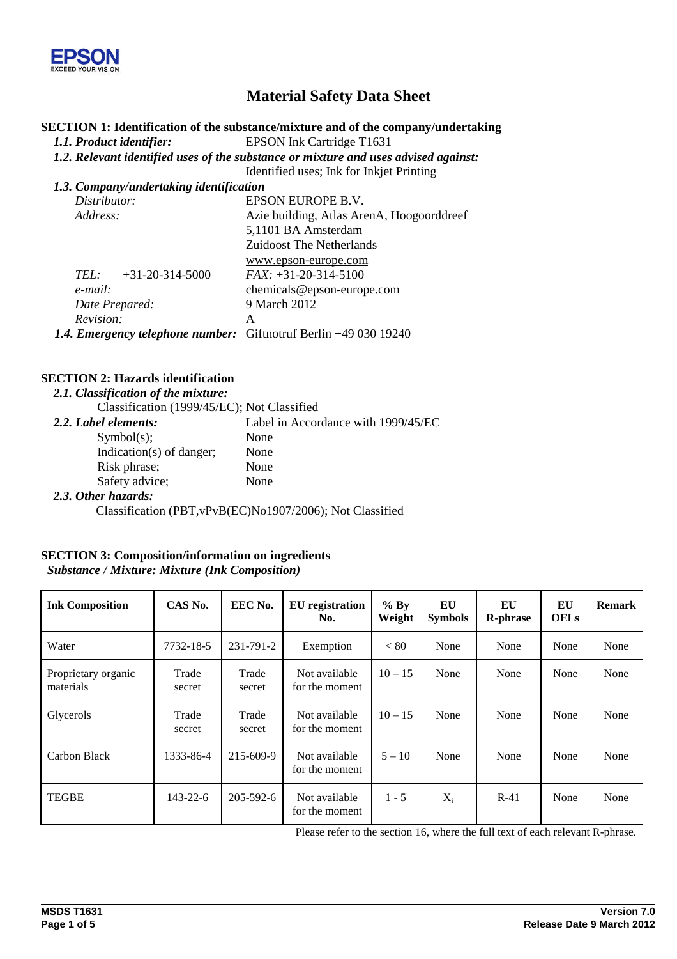

# **Material Safety Data Sheet**

## **SECTION 1: Identification of the substance/mixture and of the company/undertaking**

*1.1. Product identifier:* EPSON Ink Cartridge T1631

*1.2. Relevant identified uses of the substance or mixture and uses advised against:*

Identified uses; Ink for Inkjet Printing

| 1.3. Company/undertaking identification                          |                                           |  |  |  |
|------------------------------------------------------------------|-------------------------------------------|--|--|--|
| Distributor:                                                     | EPSON EUROPE B.V.                         |  |  |  |
| Address:                                                         | Azie building, Atlas ArenA, Hoogoorddreef |  |  |  |
|                                                                  | 5,1101 BA Amsterdam                       |  |  |  |
|                                                                  | <b>Zuidoost The Netherlands</b>           |  |  |  |
|                                                                  | www.epson-europe.com                      |  |  |  |
| $+31-20-314-5000$<br>TEL:                                        | $FAX: +31-20-314-5100$                    |  |  |  |
| e-mail:                                                          | chemicals@epson-europe.com                |  |  |  |
| Date Prepared:                                                   | 9 March 2012                              |  |  |  |
| Revision:                                                        | A                                         |  |  |  |
| 1.4. Emergency telephone number: Giftnotruf Berlin +49 030 19240 |                                           |  |  |  |

#### **SECTION 2: Hazards identification**

*2.1. Classification of the mixture:*

Classification (1999/45/EC); Not Classified

| 2.2. Label elements:         | Label in Accordance with 1999/45/EC |
|------------------------------|-------------------------------------|
| Symbol(s);                   | None                                |
| Indication( $s$ ) of danger; | None                                |
| Risk phrase;                 | None                                |
| Safety advice;               | None                                |
| 2.3. Other hazards:          |                                     |

Classification (PBT,vPvB(EC)No1907/2006); Not Classified

#### **SECTION 3: Composition/information on ingredients**

*Substance / Mixture: Mixture (Ink Composition)*

| <b>Ink Composition</b>           | CAS No.         | EEC No.         | <b>EU</b> registration<br>No.   | $%$ By<br>Weight | EU<br><b>Symbols</b> | EU<br><b>R-phrase</b> | EU<br><b>OELs</b> | <b>Remark</b> |
|----------------------------------|-----------------|-----------------|---------------------------------|------------------|----------------------|-----------------------|-------------------|---------------|
| Water                            | 7732-18-5       | 231-791-2       | Exemption                       | < 80             | None                 | None                  | None              | None          |
| Proprietary organic<br>materials | Trade<br>secret | Trade<br>secret | Not available<br>for the moment | $10 - 15$        | None                 | None                  | None              | None          |
| Glycerols                        | Trade<br>secret | Trade<br>secret | Not available<br>for the moment | $10 - 15$        | None                 | None                  | None              | None          |
| Carbon Black                     | 1333-86-4       | 215-609-9       | Not available<br>for the moment | $5 - 10$         | None                 | None                  | None              | None          |
| <b>TEGBE</b>                     | $143 - 22 - 6$  | $205 - 592 - 6$ | Not available<br>for the moment | $1 - 5$          | $X_i$                | $R-41$                | None              | None          |

Please refer to the section 16, where the full text of each relevant R-phrase.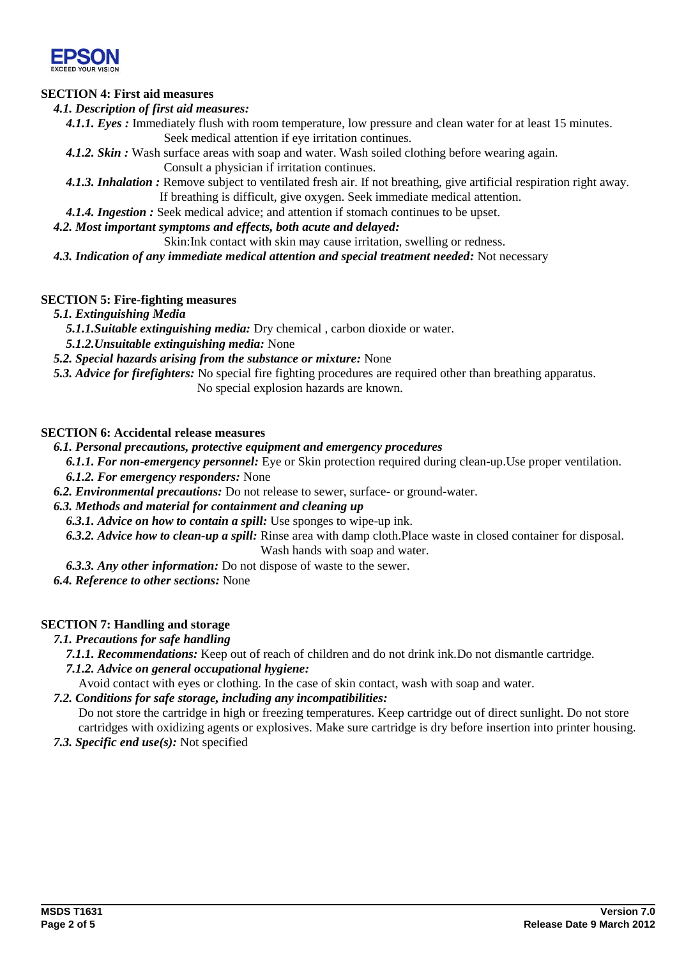

## **SECTION 4: First aid measures**

#### *4.1. Description of first aid measures:*

- *4.1.1. Eyes :* Immediately flush with room temperature, low pressure and clean water for at least 15 minutes*.* Seek medical attention if eye irritation continues.
- *4.1.2. Skin :* Wash surface areas with soap and water. Wash soiled clothing before wearing again. Consult a physician if irritation continues.
- *4.1.3. Inhalation :* Remove subject to ventilated fresh air. If not breathing, give artificial respiration right away. If breathing is difficult, give oxygen. Seek immediate medical attention.
- *4.1.4. Ingestion :* Seek medical advice; and attention if stomach continues to be upset.
- *4.2. Most important symptoms and effects, both acute and delayed:*
	- Skin:Ink contact with skin may cause irritation, swelling or redness.
- *4.3. Indication of any immediate medical attention and special treatment needed:* Not necessary

#### **SECTION 5: Fire-fighting measures**

- *5.1. Extinguishing Media*
	- *5.1.1.Suitable extinguishing media:* Dry chemical , carbon dioxide or water.
	- *5.1.2.Unsuitable extinguishing media:* None
- *5.2. Special hazards arising from the substance or mixture:* None
- *5.3. Advice for firefighters:* No special fire fighting procedures are required other than breathing apparatus.
	- No special explosion hazards are known.

#### **SECTION 6: Accidental release measures**

- *6.1. Personal precautions, protective equipment and emergency procedures*
	- *6.1.1. For non-emergency personnel:* Eye or Skin protection required during clean-up.Use proper ventilation.
	- *6.1.2. For emergency responders:* None
- *6.2. Environmental precautions:* Do not release to sewer, surface- or ground-water.

## *6.3. Methods and material for containment and cleaning up*

- *6.3.1. Advice on how to contain a spill:* Use sponges to wipe-up ink.
- *6.3.2. Advice how to clean-up a spill:* Rinse area with damp cloth.Place waste in closed container for disposal. Wash hands with soap and water.
- *6.3.3. Any other information:* Do not dispose of waste to the sewer.
- *6.4. Reference to other sections:* None

#### **SECTION 7: Handling and storage**

- *7.1. Precautions for safe handling*
	- *7.1.1. Recommendations:* Keep out of reach of children and do not drink ink.Do not dismantle cartridge.
	- *7.1.2. Advice on general occupational hygiene:*
		- Avoid contact with eyes or clothing. In the case of skin contact, wash with soap and water.
- *7.2. Conditions for safe storage, including any incompatibilities:*

Do not store the cartridge in high or freezing temperatures. Keep cartridge out of direct sunlight. Do not store cartridges with oxidizing agents or explosives. Make sure cartridge is dry before insertion into printer housing.

*7.3. Specific end use(s):* Not specified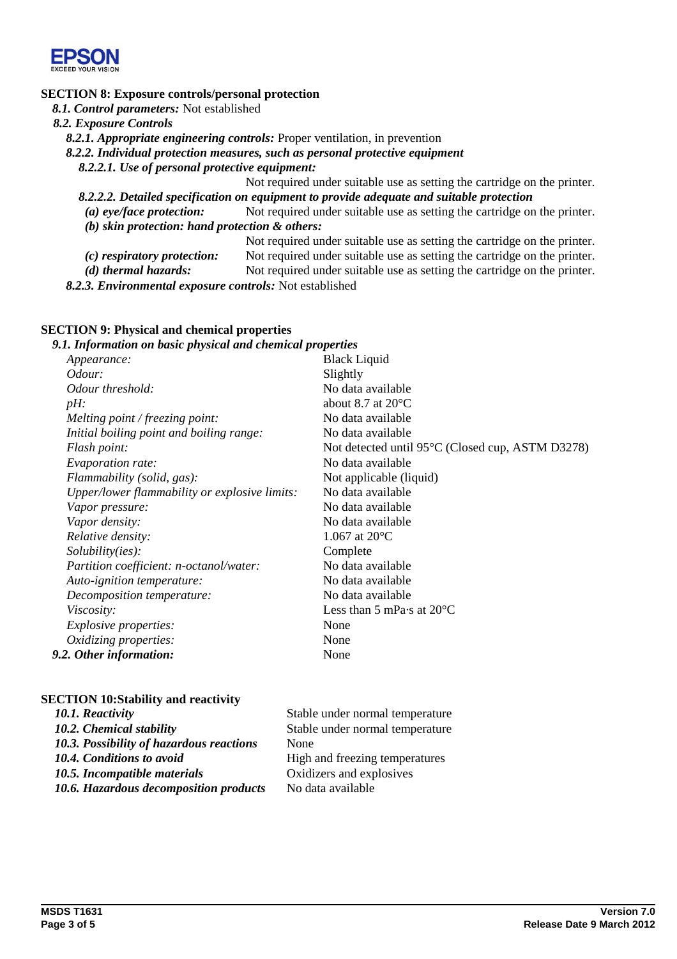

## **SECTION 8: Exposure controls/personal protection**

*8.1. Control parameters:* Not established

*8.2. Exposure Controls*

*8.2.1. Appropriate engineering controls:* Proper ventilation, in prevention

*8.2.2. Individual protection measures, such as personal protective equipment*

*8.2.2.1. Use of personal protective equipment:*

Not required under suitable use as setting the cartridge on the printer. *8.2.2.2. Detailed specification on equipment to provide adequate and suitable protection*

*(a) eye/face protection:* Not required under suitable use as setting the cartridge on the printer. *(b) skin protection: hand protection & others:*

Not required under suitable use as setting the cartridge on the printer. *(c) respiratory protection:* Not required under suitable use as setting the cartridge on the printer.

*(d) thermal hazards:* Not required under suitable use as setting the cartridge on the printer.

*8.2.3. Environmental exposure controls:* Not established

## **SECTION 9: Physical and chemical properties**

#### *9.1. Information on basic physical and chemical properties*

| <i>Appearance:</i>                            | <b>Black Liquid</b>                              |
|-----------------------------------------------|--------------------------------------------------|
| Odour:                                        | Slightly                                         |
| Odour threshold:                              | No data available                                |
| $pH$ :                                        | about 8.7 at $20^{\circ}$ C                      |
| Melting point / freezing point:               | No data available                                |
| Initial boiling point and boiling range:      | No data available                                |
| Flash point:                                  | Not detected until 95°C (Closed cup, ASTM D3278) |
| Evaporation rate:                             | No data available                                |
| Flammability (solid, gas):                    | Not applicable (liquid)                          |
| Upper/lower flammability or explosive limits: | No data available                                |
| Vapor pressure:                               | No data available                                |
| Vapor density:                                | No data available                                |
| Relative density:                             | 1.067 at $20^{\circ}$ C                          |
| Solubility(ies):                              | Complete                                         |
| Partition coefficient: n-octanol/water:       | No data available                                |
| Auto-ignition temperature:                    | No data available                                |
| Decomposition temperature:                    | No data available                                |
| <i>Viscosity:</i>                             | Less than 5 mPa $\cdot$ s at 20 $\rm ^{\circ}C$  |
| <i>Explosive properties:</i>                  | None                                             |
| Oxidizing properties:                         | None                                             |
| 9.2. Other information:                       | None                                             |

#### **SECTION 10:Stability and reactivity**

| 10.1. Reactivity                         | Stable under normal temperature |
|------------------------------------------|---------------------------------|
| 10.2. Chemical stability                 | Stable under normal temperature |
| 10.3. Possibility of hazardous reactions | None                            |
| 10.4. Conditions to avoid                | High and freezing temperatures  |
| 10.5. Incompatible materials             | Oxidizers and explosives        |
| 10.6. Hazardous decomposition products   | No data available               |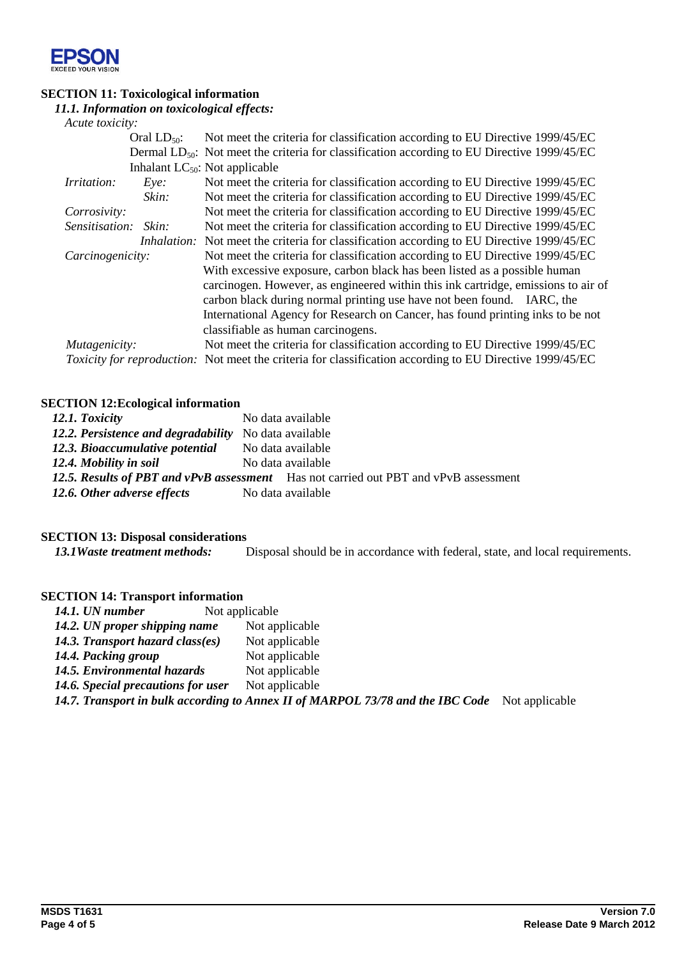

## **SECTION 11: Toxicological information**

## *11.1. Information on toxicological effects:*

| Acute toxicity:      |                  |                                                                                                                 |
|----------------------|------------------|-----------------------------------------------------------------------------------------------------------------|
|                      | Oral $LD_{50}$ : | Not meet the criteria for classification according to EU Directive 1999/45/EC                                   |
|                      |                  | Dermal LD <sub>50</sub> : Not meet the criteria for classification according to EU Directive 1999/45/EC         |
|                      |                  | Inhalant $LC_{50}$ : Not applicable                                                                             |
| <i>Irritation:</i>   | $Eye$ :          | Not meet the criteria for classification according to EU Directive 1999/45/EC                                   |
|                      | Skin:            | Not meet the criteria for classification according to EU Directive 1999/45/EC                                   |
| Corrosivity:         |                  | Not meet the criteria for classification according to EU Directive 1999/45/EC                                   |
| Sensitisation: Skin: |                  | Not meet the criteria for classification according to EU Directive 1999/45/EC                                   |
|                      |                  | Inhalation: Not meet the criteria for classification according to EU Directive 1999/45/EC                       |
| Carcinogenicity:     |                  | Not meet the criteria for classification according to EU Directive 1999/45/EC                                   |
|                      |                  | With excessive exposure, carbon black has been listed as a possible human                                       |
|                      |                  | carcinogen. However, as engineered within this ink cartridge, emissions to air of                               |
|                      |                  | carbon black during normal printing use have not been found. IARC, the                                          |
|                      |                  | International Agency for Research on Cancer, has found printing inks to be not                                  |
|                      |                  | classifiable as human carcinogens.                                                                              |
| Mutagenicity:        |                  | Not meet the criteria for classification according to EU Directive 1999/45/EC                                   |
|                      |                  | <i>Toxicity for reproduction:</i> Not meet the criteria for classification according to EU Directive 1999/45/EC |

## **SECTION 12:Ecological information**

| 12.1. Toxicity                                        | No data available                                                                    |
|-------------------------------------------------------|--------------------------------------------------------------------------------------|
| 12.2. Persistence and degradability No data available |                                                                                      |
| 12.3. Bioaccumulative potential                       | No data available                                                                    |
| 12.4. Mobility in soil                                | No data available                                                                    |
|                                                       | 12.5. Results of PBT and vPvB assessment Has not carried out PBT and vPvB assessment |
| 12.6. Other adverse effects                           | No data available                                                                    |

# **SECTION 13: Disposal considerations**

*13.1Waste treatment methods:* Disposal should be in accordance with federal, state, and local requirements.

## **SECTION 14: Transport information**

| 14.1. UN number                    | Not applicable                                                                 |                |
|------------------------------------|--------------------------------------------------------------------------------|----------------|
| 14.2. UN proper shipping name      | Not applicable                                                                 |                |
| 14.3. Transport hazard class(es)   | Not applicable                                                                 |                |
| 14.4. Packing group                | Not applicable                                                                 |                |
| 14.5. Environmental hazards        | Not applicable                                                                 |                |
| 14.6. Special precautions for user | Not applicable                                                                 |                |
|                                    | 14.7. Transport in bulk according to Annex II of MARPOL 73/78 and the IBC Code | Not applicable |
|                                    |                                                                                |                |
|                                    |                                                                                |                |